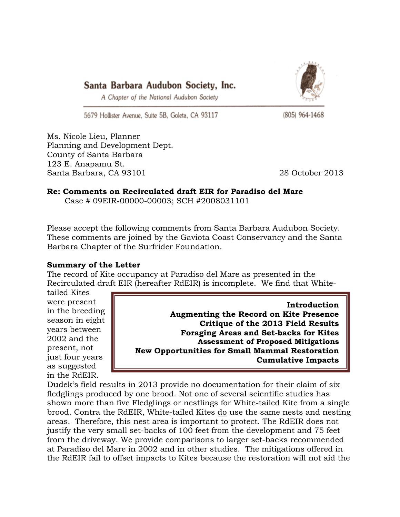



A Chapter of the National Audubon Society

5679 Hollister Avenue, Suite 5B, Goleta, CA 93117

(805) 964-1468

Ms. Nicole Lieu, Planner Planning and Development Dept. County of Santa Barbara 123 E. Anapamu St. Santa Barbara, CA 93101 28 October 2013

# **Re: Comments on Recirculated draft EIR for Paradiso del Mare**

Case # 09EIR-00000-00003; SCH #2008031101

Please accept the following comments from Santa Barbara Audubon Society. These comments are joined by the Gaviota Coast Conservancy and the Santa Barbara Chapter of the Surfrider Foundation.

# **Summary of the Letter**

The record of Kite occupancy at Paradiso del Mare as presented in the Recirculated draft EIR (hereafter RdEIR) is incomplete. We find that White-

tailed Kites were present in the breeding season in eight years between 2002 and the present, not just four years as suggested in the RdEIR.

**Introduction Augmenting the Record on Kite Presence Critique of the 2013 Field Results Foraging Areas and Set-backs for Kites Assessment of Proposed Mitigations New Opportunities for Small Mammal Restoration Cumulative Impacts** 

Dudek's field results in 2013 provide no documentation for their claim of six fledglings produced by one brood. Not one of several scientific studies has shown more than five Fledglings or nestlings for White-tailed Kite from a single brood. Contra the RdEIR, White-tailed Kites do use the same nests and nesting areas. Therefore, this nest area is important to protect. The RdEIR does not justify the very small set-backs of 100 feet from the development and 75 feet from the driveway. We provide comparisons to larger set-backs recommended at Paradiso del Mare in 2002 and in other studies. The mitigations offered in the RdEIR fail to offset impacts to Kites because the restoration will not aid the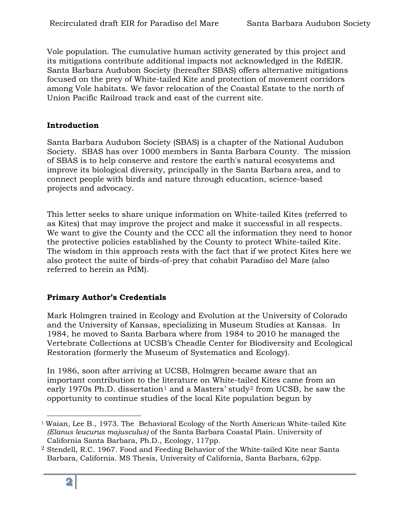Vole population. The cumulative human activity generated by this project and its mitigations contribute additional impacts not acknowledged in the RdEIR. Santa Barbara Audubon Society (hereafter SBAS) offers alternative mitigations focused on the prey of White-tailed Kite and protection of movement corridors among Vole habitats. We favor relocation of the Coastal Estate to the north of Union Pacific Railroad track and east of the current site.

#### **Introduction**

Santa Barbara Audubon Society (SBAS) is a chapter of the National Audubon Society. SBAS has over 1000 members in Santa Barbara County. The mission of SBAS is to help conserve and restore the earth's natural ecosystems and improve its biological diversity, principally in the Santa Barbara area, and to connect people with birds and nature through education, science-based projects and advocacy.

This letter seeks to share unique information on White-tailed Kites (referred to as Kites) that may improve the project and make it successful in all respects. We want to give the County and the CCC all the information they need to honor the protective policies established by the County to protect White-tailed Kite. The wisdom in this approach rests with the fact that if we protect Kites here we also protect the suite of birds-of-prey that cohabit Paradiso del Mare (also referred to herein as PdM).

# **Primary Author's Credentials**

Mark Holmgren trained in Ecology and Evolution at the University of Colorado and the University of Kansas, specializing in Museum Studies at Kansas. In 1984, he moved to Santa Barbara where from 1984 to 2010 he managed the Vertebrate Collections at UCSB's Cheadle Center for Biodiversity and Ecological Restoration (formerly the Museum of Systematics and Ecology).

In 1986, soon after arriving at UCSB, Holmgren became aware that an important contribution to the literature on White-tailed Kites came from an early [1](#page-1-0)970s Ph.D. dissertation<sup>1</sup> and a Masters' study<sup>[2](#page-1-1)</sup> from UCSB, he saw the opportunity to continue studies of the local Kite population begun by

<span id="page-1-0"></span><sup>-</sup><sup>1</sup> Waian, Lee B., 1973. The Behavioral Ecology of the North American White-tailed Kite *(Elanus leucurus majusculus)* of the Santa Barbara Coastal Plain. University of California Santa Barbara, Ph.D., Ecology, 117pp.

<span id="page-1-1"></span><sup>2</sup> Stendell, R.C. 1967. Food and Feeding Behavior of the White-tailed Kite near Santa Barbara, California. MS Thesis, University of California, Santa Barbara, 62pp.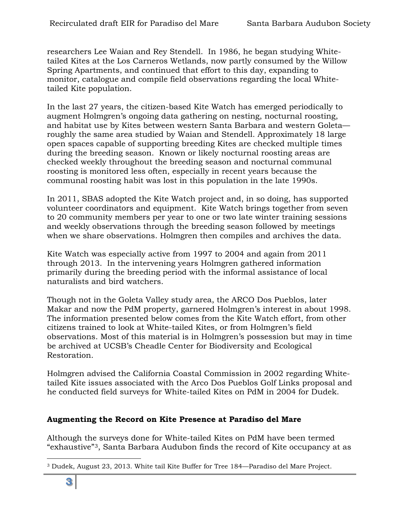researchers Lee Waian and Rey Stendell. In 1986, he began studying Whitetailed Kites at the Los Carneros Wetlands, now partly consumed by the Willow Spring Apartments, and continued that effort to this day, expanding to monitor, catalogue and compile field observations regarding the local Whitetailed Kite population.

In the last 27 years, the citizen-based Kite Watch has emerged periodically to augment Holmgren's ongoing data gathering on nesting, nocturnal roosting, and habitat use by Kites between western Santa Barbara and western Goleta roughly the same area studied by Waian and Stendell. Approximately 18 large open spaces capable of supporting breeding Kites are checked multiple times during the breeding season. Known or likely nocturnal roosting areas are checked weekly throughout the breeding season and nocturnal communal roosting is monitored less often, especially in recent years because the communal roosting habit was lost in this population in the late 1990s.

In 2011, SBAS adopted the Kite Watch project and, in so doing, has supported volunteer coordinators and equipment. Kite Watch brings together from seven to 20 community members per year to one or two late winter training sessions and weekly observations through the breeding season followed by meetings when we share observations. Holmgren then compiles and archives the data.

Kite Watch was especially active from 1997 to 2004 and again from 2011 through 2013. In the intervening years Holmgren gathered information primarily during the breeding period with the informal assistance of local naturalists and bird watchers.

Though not in the Goleta Valley study area, the ARCO Dos Pueblos, later Makar and now the PdM property, garnered Holmgren's interest in about 1998. The information presented below comes from the Kite Watch effort, from other citizens trained to look at White-tailed Kites, or from Holmgren's field observations. Most of this material is in Holmgren's possession but may in time be archived at UCSB's Cheadle Center for Biodiversity and Ecological Restoration.

Holmgren advised the California Coastal Commission in 2002 regarding Whitetailed Kite issues associated with the Arco Dos Pueblos Golf Links proposal and he conducted field surveys for White-tailed Kites on PdM in 2004 for Dudek.

# **Augmenting the Record on Kite Presence at Paradiso del Mare**

Although the surveys done for White-tailed Kites on PdM have been termed "exhaustive"[3](#page-2-0), Santa Barbara Audubon finds the record of Kite occupancy at as

<span id="page-2-0"></span> $\overline{a}$ <sup>3</sup> Dudek, August 23, 2013. White tail Kite Buffer for Tree 184—Paradiso del Mare Project.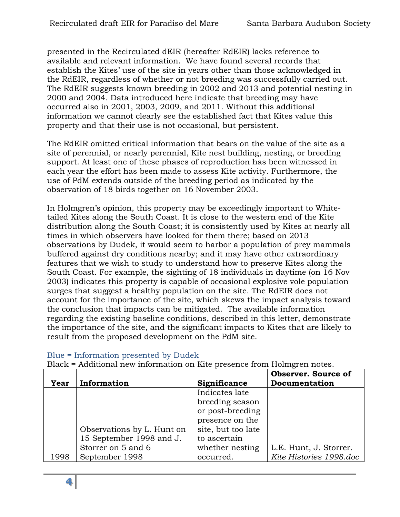presented in the Recirculated dEIR (hereafter RdEIR) lacks reference to available and relevant information. We have found several records that establish the Kites' use of the site in years other than those acknowledged in the RdEIR, regardless of whether or not breeding was successfully carried out. The RdEIR suggests known breeding in 2002 and 2013 and potential nesting in 2000 and 2004. Data introduced here indicate that breeding may have occurred also in 2001, 2003, 2009, and 2011. Without this additional information we cannot clearly see the established fact that Kites value this property and that their use is not occasional, but persistent.

The RdEIR omitted critical information that bears on the value of the site as a site of perennial, or nearly perennial, Kite nest building, nesting, or breeding support. At least one of these phases of reproduction has been witnessed in each year the effort has been made to assess Kite activity. Furthermore, the use of PdM extends outside of the breeding period as indicated by the observation of 18 birds together on 16 November 2003.

In Holmgren's opinion, this property may be exceedingly important to Whitetailed Kites along the South Coast. It is close to the western end of the Kite distribution along the South Coast; it is consistently used by Kites at nearly all times in which observers have looked for them there; based on 2013 observations by Dudek, it would seem to harbor a population of prey mammals buffered against dry conditions nearby; and it may have other extraordinary features that we wish to study to understand how to preserve Kites along the South Coast. For example, the sighting of 18 individuals in daytime (on 16 Nov 2003) indicates this property is capable of occasional explosive vole population surges that suggest a healthy population on the site. The RdEIR does not account for the importance of the site, which skews the impact analysis toward the conclusion that impacts can be mitigated. The available information regarding the existing baseline conditions, described in this letter, demonstrate the importance of the site, and the significant impacts to Kites that are likely to result from the proposed development on the PdM site.

|      |                            |                    | <b>Observer.</b> Source of |
|------|----------------------------|--------------------|----------------------------|
| Year | Information                | Significance       | Documentation              |
|      |                            | Indicates late     |                            |
|      |                            | breeding season    |                            |
|      |                            | or post-breeding   |                            |
|      |                            | presence on the    |                            |
|      | Observations by L. Hunt on | site, but too late |                            |
|      | 15 September 1998 and J.   | to ascertain       |                            |
|      | Storrer on 5 and 6         | whether nesting    | L.E. Hunt, J. Storrer.     |
| 1998 | September 1998             | occurred.          | Kite Histories 1998.doc    |

# Blue = Information presented by Dudek

Black = Additional new information on Kite presence from Holmgren notes.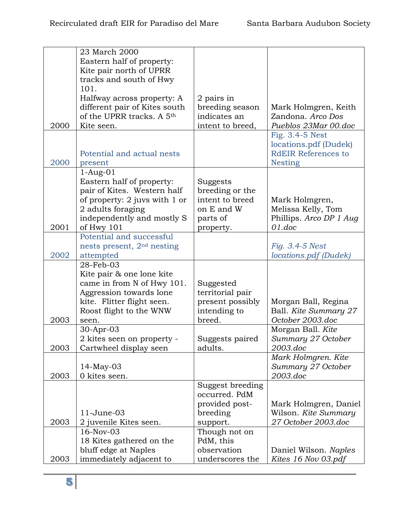|      | 23 March 2000                          |                                    |                            |
|------|----------------------------------------|------------------------------------|----------------------------|
|      | Eastern half of property:              |                                    |                            |
|      | Kite pair north of UPRR                |                                    |                            |
|      | tracks and south of Hwy                |                                    |                            |
|      | 101.                                   |                                    |                            |
|      | Halfway across property: A             | 2 pairs in                         |                            |
|      | different pair of Kites south          | breeding season                    | Mark Holmgren, Keith       |
|      | of the UPRR tracks. A 5 <sup>th</sup>  | indicates an                       | Zandona. Arco Dos          |
| 2000 | Kite seen.                             | intent to breed,                   | Pueblos 23Mar 00.doc       |
|      |                                        |                                    | Fig. 3.4-5 Nest            |
|      |                                        |                                    | locations.pdf (Dudek)      |
|      | Potential and actual nests             |                                    | <b>RdEIR References to</b> |
| 2000 |                                        |                                    | <b>Nesting</b>             |
|      | present                                |                                    |                            |
|      | $1-Aug-01$                             |                                    |                            |
|      | Eastern half of property:              | Suggests                           |                            |
|      | pair of Kites. Western half            | breeding or the<br>intent to breed |                            |
|      | of property: 2 juvs with 1 or          |                                    | Mark Holmgren,             |
|      | 2 adults foraging                      | on E and W                         | Melissa Kelly, Tom         |
|      | independently and mostly S             | parts of                           | Phillips. Arco DP 1 Aug    |
| 2001 | of Hwy 101                             | property.                          | 01.doc                     |
|      | Potential and successful               |                                    |                            |
|      | nests present, 2 <sup>nd</sup> nesting |                                    | Fig. 3.4-5 Nest            |
| 2002 | attempted                              |                                    | locations.pdf (Dudek)      |
|      | 28-Feb-03                              |                                    |                            |
|      | Kite pair & one lone kite              |                                    |                            |
|      | came in from N of Hwy 101.             | Suggested                          |                            |
|      | Aggression towards lone                | territorial pair                   |                            |
|      | kite. Flitter flight seen.             | present possibly                   | Morgan Ball, Regina        |
|      | Roost flight to the WNW                | intending to                       | Ball. Kite Summary 27      |
| 2003 | seen.                                  | breed.                             | October 2003.doc           |
|      | 30-Apr-03                              |                                    | Morgan Ball. Kite          |
|      | 2 kites seen on property -             | Suggests paired                    | Summary 27 October         |
| 2003 | Cartwheel display seen                 | adults.                            | 2003.doc                   |
|      |                                        |                                    | Mark Holmgren. Kite        |
|      | $14$ -May-03                           |                                    | Summary 27 October         |
| 2003 | 0 kites seen.                          |                                    | 2003.doc                   |
|      |                                        | Suggest breeding                   |                            |
|      |                                        | occurred. PdM                      |                            |
|      |                                        | provided post-                     | Mark Holmgren, Daniel      |
|      | $11$ -June-03                          | breeding                           | Wilson. Kite Summary       |
| 2003 | 2 juvenile Kites seen.                 | support.                           | 27 October 2003.doc        |
|      | 16-Nov-03                              | Though not on                      |                            |
|      | 18 Kites gathered on the               | PdM, this                          |                            |
|      | bluff edge at Naples                   | observation                        | Daniel Wilson. Naples      |
| 2003 | immediately adjacent to                | underscores the                    | Kites 16 Nov 03.pdf        |
|      |                                        |                                    |                            |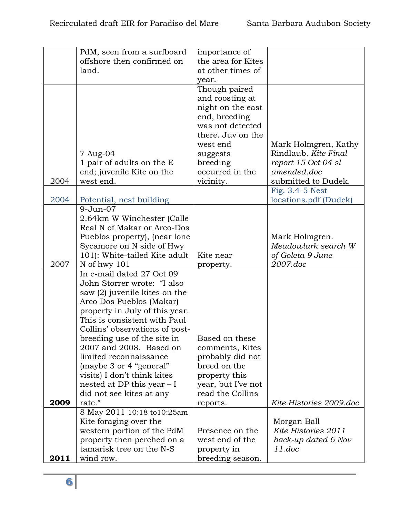|      | PdM, seen from a surfboard     | importance of      |                         |
|------|--------------------------------|--------------------|-------------------------|
|      | offshore then confirmed on     | the area for Kites |                         |
|      | land.                          | at other times of  |                         |
|      |                                | year.              |                         |
|      |                                | Though paired      |                         |
|      |                                |                    |                         |
|      |                                | and roosting at    |                         |
|      |                                | night on the east  |                         |
|      |                                | end, breeding      |                         |
|      |                                | was not detected   |                         |
|      |                                | there. Juv on the  |                         |
|      |                                | west end           | Mark Holmgren, Kathy    |
|      | 7 Aug-04                       | suggests           | Rindlaub. Kite Final    |
|      | 1 pair of adults on the E      | breeding           | report 15 Oct 04 sl     |
|      | end; juvenile Kite on the      | occurred in the    | amended.doc             |
|      |                                |                    |                         |
| 2004 | west end.                      | vicinity.          | submitted to Dudek.     |
|      |                                |                    | Fig. 3.4-5 Nest         |
| 2004 | Potential, nest building       |                    | locations.pdf (Dudek)   |
|      | $9 - Jun-07$                   |                    |                         |
|      | 2.64km W Winchester (Calle     |                    |                         |
|      | Real N of Makar or Arco-Dos    |                    |                         |
|      | Pueblos property), (near lone  |                    | Mark Holmgren.          |
|      | Sycamore on N side of Hwy      |                    | Meadowlark search W     |
|      | 101): White-tailed Kite adult  | Kite near          | of Goleta 9 June        |
| 2007 | N of hwy 101                   | property.          | 2007.doc                |
|      | In e-mail dated 27 Oct 09      |                    |                         |
|      | John Storrer wrote: "I also    |                    |                         |
|      | saw (2) juvenile kites on the  |                    |                         |
|      | Arco Dos Pueblos (Makar)       |                    |                         |
|      |                                |                    |                         |
|      | property in July of this year. |                    |                         |
|      | This is consistent with Paul   |                    |                         |
|      | Collins' observations of post- |                    |                         |
|      | breeding use of the site in    | Based on these     |                         |
|      | 2007 and 2008. Based on        | comments, Kites    |                         |
|      | limited reconnaissance         | probably did not   |                         |
|      | (maybe 3 or 4 "general"        | breed on the       |                         |
|      | visits) I don't think kites    | property this      |                         |
|      | nested at DP this year $-I$    | year, but I've not |                         |
|      | did not see kites at any       | read the Collins   |                         |
| 2009 | rate."                         | reports.           | Kite Histories 2009.doc |
|      | 8 May 2011 10:18 to10:25am     |                    |                         |
|      | Kite foraging over the         |                    | Morgan Ball             |
|      | western portion of the PdM     | Presence on the    | Kite Histories 2011     |
|      | property then perched on a     | west end of the    | back-up dated 6 Nov     |
|      | tamarisk tree on the N-S       |                    | 11.doc                  |
|      |                                | property in        |                         |
| 2011 | wind row.                      | breeding season.   |                         |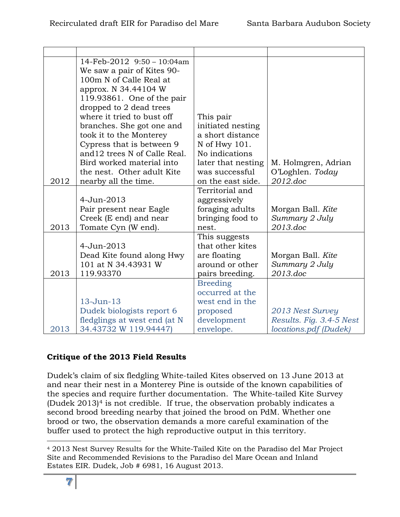|      | 14-Feb-2012 9:50 - 10:04am    |                    |                          |
|------|-------------------------------|--------------------|--------------------------|
|      | We saw a pair of Kites 90-    |                    |                          |
|      | 100m N of Calle Real at       |                    |                          |
|      | approx. N 34.44104 W          |                    |                          |
|      | 119.93861. One of the pair    |                    |                          |
|      | dropped to 2 dead trees       |                    |                          |
|      | where it tried to bust off    | This pair          |                          |
|      | branches. She got one and     | initiated nesting  |                          |
|      | took it to the Monterey       | a short distance   |                          |
|      | Cypress that is between 9     | N of Hwy 101.      |                          |
|      | and 12 trees N of Calle Real. | No indications     |                          |
|      | Bird worked material into     | later that nesting | M. Holmgren, Adrian      |
|      | the nest. Other adult Kite    | was successful     | O'Loghlen. Today         |
| 2012 | nearby all the time.          | on the east side.  | 2012.doc                 |
|      |                               | Territorial and    |                          |
|      | 4-Jun-2013                    | aggressively       |                          |
|      | Pair present near Eagle       | foraging adults    | Morgan Ball. Kite        |
|      | Creek (E end) and near        | bringing food to   | Summary 2 July           |
| 2013 | Tomate Cyn (W end).           | nest.              | 2013.doc                 |
|      |                               | This suggests      |                          |
|      | 4-Jun-2013                    | that other kites   |                          |
|      | Dead Kite found along Hwy     | are floating       | Morgan Ball. Kite        |
|      | 101 at N 34.43931 W           | around or other    | Summary 2 July           |
| 2013 | 119.93370                     | pairs breeding.    | 2013.doc                 |
|      |                               | <b>Breeding</b>    |                          |
|      |                               | occurred at the    |                          |
|      | 13-Jun-13                     | west end in the    |                          |
|      | Dudek biologists report 6     | proposed           | 2013 Nest Survey         |
|      | fledglings at west end (at N  | development        | Results. Fig. 3.4-5 Nest |
| 2013 | 34.43732 W 119.94447)         | envelope.          | locations.pdf (Dudek)    |

# **Critique of the 2013 Field Results**

Dudek's claim of six fledgling White-tailed Kites observed on 13 June 2013 at and near their nest in a Monterey Pine is outside of the known capabilities of the species and require further documentation. The White-tailed Kite Survey (Dudek  $2013$ )<sup>[4](#page-6-0)</sup> is not credible. If true, the observation probably indicates a second brood breeding nearby that joined the brood on PdM. Whether one brood or two, the observation demands a more careful examination of the buffer used to protect the high reproductive output in this territory.

<span id="page-6-0"></span> $\overline{a}$ <sup>4</sup> 2013 Nest Survey Results for the White-Tailed Kite on the Paradiso del Mar Project Site and Recommended Revisions to the Paradiso del Mare Ocean and Inland Estates EIR. Dudek, Job # 6981, 16 August 2013.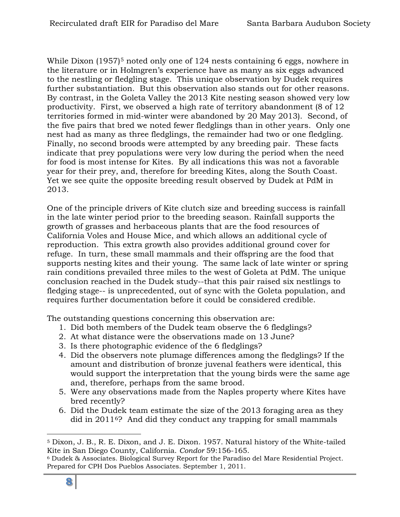While Dixon (19[5](#page-7-0)7)<sup>5</sup> noted only one of 124 nests containing 6 eggs, nowhere in the literature or in Holmgren's experience have as many as six eggs advanced to the nestling or fledgling stage. This unique observation by Dudek requires further substantiation. But this observation also stands out for other reasons. By contrast, in the Goleta Valley the 2013 Kite nesting season showed very low productivity. First, we observed a high rate of territory abandonment (8 of 12 territories formed in mid-winter were abandoned by 20 May 2013). Second, of the five pairs that bred we noted fewer fledglings than in other years. Only one nest had as many as three fledglings, the remainder had two or one fledgling. Finally, no second broods were attempted by any breeding pair. These facts indicate that prey populations were very low during the period when the need for food is most intense for Kites. By all indications this was not a favorable year for their prey, and, therefore for breeding Kites, along the South Coast. Yet we see quite the opposite breeding result observed by Dudek at PdM in 2013.

One of the principle drivers of Kite clutch size and breeding success is rainfall in the late winter period prior to the breeding season. Rainfall supports the growth of grasses and herbaceous plants that are the food resources of California Voles and House Mice, and which allows an additional cycle of reproduction. This extra growth also provides additional ground cover for refuge. In turn, these small mammals and their offspring are the food that supports nesting kites and their young. The same lack of late winter or spring rain conditions prevailed three miles to the west of Goleta at PdM. The unique conclusion reached in the Dudek study--that this pair raised six nestlings to fledging stage-- is unprecedented, out of sync with the Goleta population, and requires further documentation before it could be considered credible.

The outstanding questions concerning this observation are:

- 1. Did both members of the Dudek team observe the 6 fledglings?
- 2. At what distance were the observations made on 13 June?
- 3. Is there photographic evidence of the 6 fledglings?
- 4. Did the observers note plumage differences among the fledglings? If the amount and distribution of bronze juvenal feathers were identical, this would support the interpretation that the young birds were the same age and, therefore, perhaps from the same brood.
- 5. Were any observations made from the Naples property where Kites have bred recently?
- 6. Did the Dudek team estimate the size of the 2013 foraging area as they did in 2011[6](#page-7-1)? And did they conduct any trapping for small mammals

<span id="page-7-0"></span> $\overline{a}$ <sup>5</sup> Dixon, J. B., R. E. Dixon, and J. E. Dixon. 1957. Natural history of the White-tailed Kite in San Diego County, California. *Condor* 59:156-165.

<span id="page-7-1"></span><sup>6</sup> Dudek & Associates. Biological Survey Report for the Paradiso del Mare Residential Project. Prepared for CPH Dos Pueblos Associates. September 1, 2011.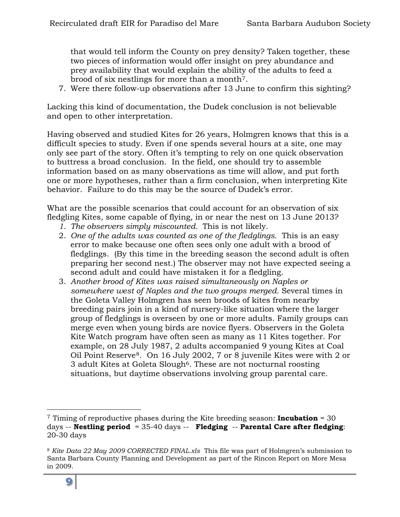that would tell inform the County on prey density? Taken together, these two pieces of information would offer insight on prey abundance and prey availability that would explain the ability of the adults to feed a brood of six nestlings for more than a month[7](#page-8-0).

7. Were there follow-up observations after 13 June to confirm this sighting?

Lacking this kind of documentation, the Dudek conclusion is not believable and open to other interpretation.

Having observed and studied Kites for 26 years, Holmgren knows that this is a difficult species to study. Even if one spends several hours at a site, one may only see part of the story. Often it's tempting to rely on one quick observation to buttress a broad conclusion. In the field, one should try to assemble information based on as many observations as time will allow, and put forth one or more hypotheses, rather than a firm conclusion, when interpreting Kite behavior. Failure to do this may be the source of Dudek's error.

What are the possible scenarios that could account for an observation of six fledgling Kites, some capable of flying, in or near the nest on 13 June 2013?

- *1. The observers simply miscounted.* This is not likely.
- 2. *One of the adults was counted as one of the fledglings.* This is an easy error to make because one often sees only one adult with a brood of fledglings. (By this time in the breeding season the second adult is often preparing her second nest.) The observer may not have expected seeing a second adult and could have mistaken it for a fledgling.
- 3. *Another brood of Kites was raised simultaneously on Naples or somewhere west of Naples and the two groups merged.* Several times in the Goleta Valley Holmgren has seen broods of kites from nearby breeding pairs join in a kind of nursery-like situation where the larger group of fledglings is overseen by one or more adults. Family groups can merge even when young birds are novice flyers. Observers in the Goleta Kite Watch program have often seen as many as 11 Kites together. For example, on 28 July 1987, 2 adults accompanied 9 young Kites at Coal Oil Point Reserve[8](#page-8-1). On 16 July 2002, 7 or 8 juvenile Kites were with 2 or 3 adult Kites at Goleta Slough<sup>6</sup>. These are not nocturnal roosting situations, but daytime observations involving group parental care.

 $\overline{a}$ 

<span id="page-8-0"></span><sup>7</sup> Timing of reproductive phases during the Kite breeding season: **Incubation** = 30 days -- **Nestling period** = 35-40 days -- **Fledging** -- **Parental Care after fledging**: 20-30 days

<span id="page-8-1"></span><sup>8</sup> *Kite Data 22 May 2009 CORRECTED FINAL.xls* This file was part of Holmgren's submission to Santa Barbara County Planning and Development as part of the Rincon Report on More Mesa in 2009.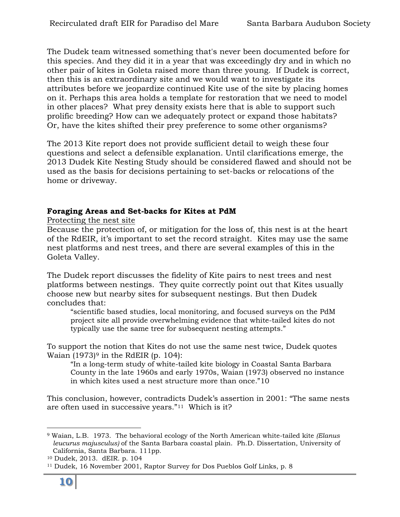The Dudek team witnessed something that's never been documented before for this species. And they did it in a year that was exceedingly dry and in which no other pair of kites in Goleta raised more than three young. If Dudek is correct, then this is an extraordinary site and we would want to investigate its attributes before we jeopardize continued Kite use of the site by placing homes on it. Perhaps this area holds a template for restoration that we need to model in other places? What prey density exists here that is able to support such prolific breeding? How can we adequately protect or expand those habitats? Or, have the kites shifted their prey preference to some other organisms?

The 2013 Kite report does not provide sufficient detail to weigh these four questions and select a defensible explanation. Until clarifications emerge, the 2013 Dudek Kite Nesting Study should be considered flawed and should not be used as the basis for decisions pertaining to set-backs or relocations of the home or driveway.

# **Foraging Areas and Set-backs for Kites at PdM**

Protecting the nest site

Because the protection of, or mitigation for the loss of, this nest is at the heart of the RdEIR, it's important to set the record straight. Kites may use the same nest platforms and nest trees, and there are several examples of this in the Goleta Valley.

The Dudek report discusses the fidelity of Kite pairs to nest trees and nest platforms between nestings. They quite correctly point out that Kites usually choose new but nearby sites for subsequent nestings. But then Dudek concludes that:

"scientific based studies, local monitoring, and focused surveys on the PdM project site all provide overwhelming evidence that white-tailed kites do not typically use the same tree for subsequent nesting attempts."

To support the notion that Kites do not use the same nest twice, Dudek quotes Waian  $(1973)$  $(1973)$  $(1973)$ <sup>9</sup> in the RdEIR (p. 104):

"In a long-term study of white-tailed kite biology in Coastal Santa Barbara County in the late 1960s and early 1970s, Waian (1973) observed no instance in which kites used a nest structure more than once."[10](#page-9-1)

This conclusion, however, contradicts Dudek's assertion in 2001: "The same nests are often used in successive years."[11](#page-9-2) Which is it?

<span id="page-9-0"></span><sup>-</sup><sup>9</sup> Waian, L.B. 1973. The behavioral ecology of the North American white-tailed kite *(Elanus leucurus majusculus)* of the Santa Barbara coastal plain. Ph.D. Dissertation, University of California, Santa Barbara. 111pp.

<span id="page-9-1"></span><sup>10</sup> Dudek, 2013. dEIR. p. 104

<span id="page-9-2"></span><sup>11</sup> Dudek, 16 November 2001, Raptor Survey for Dos Pueblos Golf Links, p. 8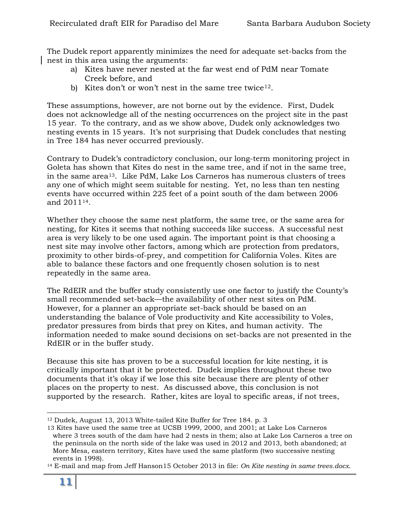The Dudek report apparently minimizes the need for adequate set-backs from the nest in this area using the arguments:

- a) Kites have never nested at the far west end of PdM near Tomate Creek before, and
- b) Kites don't or won't nest in the same tree twice  $12$ .

These assumptions, however, are not borne out by the evidence. First, Dudek does not acknowledge all of the nesting occurrences on the project site in the past 15 year. To the contrary, and as we show above, Dudek only acknowledges two nesting events in 15 years. It's not surprising that Dudek concludes that nesting in Tree 184 has never occurred previously.

Contrary to Dudek's contradictory conclusion, our long-term monitoring project in Goleta has shown that Kites do nest in the same tree, and if not in the same tree, in the same area[13](#page-10-1). Like PdM, Lake Los Carneros has numerous clusters of trees any one of which might seem suitable for nesting. Yet, no less than ten nesting events have occurred within 225 feet of a point south of the dam between 2006 and 2011[14](#page-10-2).

Whether they choose the same nest platform, the same tree, or the same area for nesting, for Kites it seems that nothing succeeds like success. A successful nest area is very likely to be one used again. The important point is that choosing a nest site may involve other factors, among which are protection from predators, proximity to other birds-of-prey, and competition for California Voles. Kites are able to balance these factors and one frequently chosen solution is to nest repeatedly in the same area.

The RdEIR and the buffer study consistently use one factor to justify the County's small recommended set-back—the availability of other nest sites on PdM. However, for a planner an appropriate set-back should be based on an understanding the balance of Vole productivity and Kite accessibility to Voles, predator pressures from birds that prey on Kites, and human activity. The information needed to make sound decisions on set-backs are not presented in the RdEIR or in the buffer study.

Because this site has proven to be a successful location for kite nesting, it is critically important that it be protected. Dudek implies throughout these two documents that it's okay if we lose this site because there are plenty of other places on the property to nest. As discussed above, this conclusion is not supported by the research. Rather, kites are loyal to specific areas, if not trees,

 $\overline{a}$ 

<span id="page-10-0"></span><sup>12</sup> Dudek, August 13, 2013 White-tailed Kite Buffer for Tree 184. p. 3

<span id="page-10-1"></span><sup>13</sup> Kites have used the same tree at UCSB 1999, 2000, and 2001; at Lake Los Carneros where 3 trees south of the dam have had 2 nests in them; also at Lake Los Carneros a tree on the peninsula on the north side of the lake was used in 2012 and 2013, both abandoned; at More Mesa, eastern territory, Kites have used the same platform (two successive nesting events in 1998).

<span id="page-10-2"></span><sup>14</sup> E-mail and map from Jeff Hanson15 October 2013 in file: *On Kite nesting in same trees.docx*.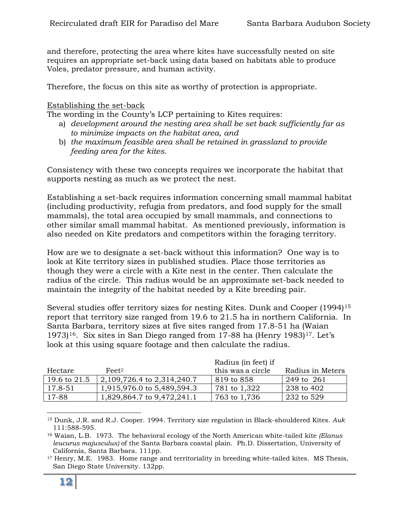and therefore, protecting the area where kites have successfully nested on site requires an appropriate set-back using data based on habitats able to produce Voles, predator pressure, and human activity.

Therefore, the focus on this site as worthy of protection is appropriate.

#### Establishing the set-back

The wording in the County's LCP pertaining to Kites requires:

- a) *development around the nesting area shall be set back sufficiently far as to minimize impacts on the habitat area, and*
- b) *the maximum feasible area shall be retained in grassland to provide feeding area for the kites.*

Consistency with these two concepts requires we incorporate the habitat that supports nesting as much as we protect the nest.

Establishing a set-back requires information concerning small mammal habitat (including productivity, refugia from predators, and food supply for the small mammals), the total area occupied by small mammals, and connections to other similar small mammal habitat. As mentioned previously, information is also needed on Kite predators and competitors within the foraging territory.

How are we to designate a set-back without this information? One way is to look at Kite territory sizes in published studies. Place those territories as though they were a circle with a Kite nest in the center. Then calculate the radius of the circle. This radius would be an approximate set-back needed to maintain the integrity of the habitat needed by a Kite breeding pair.

Several studies offer territory sizes for nesting Kites. Dunk and Cooper (1994)[15](#page-11-0) report that territory size ranged from 19.6 to 21.5 ha in northern California. In Santa Barbara, territory sizes at five sites ranged from 17.8-51 ha (Waian 1973)<sup>[16](#page-11-1)</sup>. Six sites in San Diego ranged from [17](#page-11-2)-88 ha (Henry 1983)<sup>17</sup>. Let's look at this using square footage and then calculate the radius.

|              |                            | Radius (in feet) if |                  |
|--------------|----------------------------|---------------------|------------------|
| Hectare      | Fe <sub>et</sub> 2         | this was a circle   | Radius in Meters |
| 19.6 to 21.5 | 2,109,726.4 to 2,314,240.7 | $819$ to $858$      | 249 to 261       |
| 17.8-51      | 1,915,976.0 to 5,489,594.3 | 781 to 1,322        | 238 to 402       |
| 17-88        | 1,829,864.7 to 9,472,241.1 | 763 to 1,736        | 232 to 529       |

<span id="page-11-0"></span> $\overline{a}$ <sup>15</sup> Dunk, J.R. and R.J. Cooper. 1994. Territory size regulation in Black-shouldered Kites. *Auk* 111:588-595.

<span id="page-11-1"></span><sup>16</sup> Waian, L.B. 1973. The behavioral ecology of the North American white-tailed kite *(Elanus leucurus majusculus)* of the Santa Barbara coastal plain. Ph.D. Dissertation, University of California, Santa Barbara. 111pp.

<span id="page-11-2"></span><sup>&</sup>lt;sup>17</sup> Henry, M.E. 1983. Home range and territoriality in breeding white-tailed kites. MS Thesis, San Diego State University. 132pp.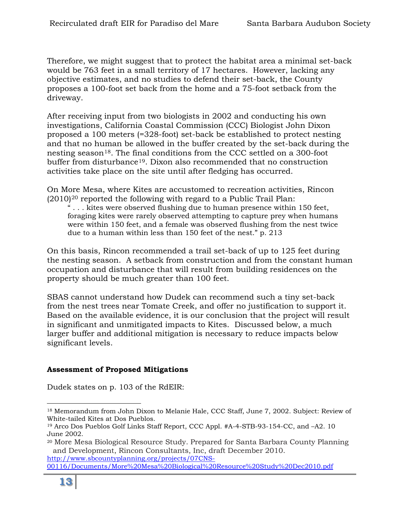Therefore, we might suggest that to protect the habitat area a minimal set-back would be 763 feet in a small territory of 17 hectares. However, lacking any objective estimates, and no studies to defend their set-back, the County proposes a 100-foot set back from the home and a 75-foot setback from the driveway.

After receiving input from two biologists in 2002 and conducting his own investigations, California Coastal Commission (CCC) Biologist John Dixon proposed a 100 meters (=328-foot) set-back be established to protect nesting and that no human be allowed in the buffer created by the set-back during the nesting season<sup>[18](#page-12-0)</sup>. The final conditions from the CCC settled on a 300-foot buffer from disturbance<sup>[19](#page-12-1)</sup>. Dixon also recommended that no construction activities take place on the site until after fledging has occurred.

On More Mesa, where Kites are accustomed to recreation activities, Rincon  $(2010)^{20}$  $(2010)^{20}$  $(2010)^{20}$  reported the following with regard to a Public Trail Plan:

" . . . kites were observed flushing due to human presence within 150 feet, foraging kites were rarely observed attempting to capture prey when humans were within 150 feet, and a female was observed flushing from the nest twice due to a human within less than 150 feet of the nest." p. 213

On this basis, Rincon recommended a trail set-back of up to 125 feet during the nesting season. A setback from construction and from the constant human occupation and disturbance that will result from building residences on the property should be much greater than 100 feet.

SBAS cannot understand how Dudek can recommend such a tiny set-back from the nest trees near Tomate Creek, and offer no justification to support it. Based on the available evidence, it is our conclusion that the project will result in significant and unmitigated impacts to Kites. Discussed below, a much larger buffer and additional mitigation is necessary to reduce impacts below significant levels.

#### **Assessment of Proposed Mitigations**

Dudek states on p. 103 of the RdEIR:

<span id="page-12-0"></span> $\overline{a}$ <sup>18</sup> Memorandum from John Dixon to Melanie Hale, CCC Staff, June 7, 2002. Subject: Review of White-tailed Kites at Dos Pueblos.

<span id="page-12-1"></span><sup>19</sup> Arco Dos Pueblos Golf Links Staff Report, CCC Appl. #A-4-STB-93-154-CC, and –A2. 10 June 2002.

<span id="page-12-2"></span><sup>20</sup> More Mesa Biological Resource Study. Prepared for Santa Barbara County Planning and Development, Rincon Consultants, Inc, draft December 2010. [http://www.sbcountyplanning.org/projects/07CNS-](http://www.sbcountyplanning.org/projects/07CNS-00116/Documents/More%20Mesa%20Biological%20Resource%20Study%20Dec2010.pdf)

[<sup>00116/</sup>Documents/More%20Mesa%20Biological%20Resource%20Study%20Dec2010.pdf](http://www.sbcountyplanning.org/projects/07CNS-00116/Documents/More%20Mesa%20Biological%20Resource%20Study%20Dec2010.pdf)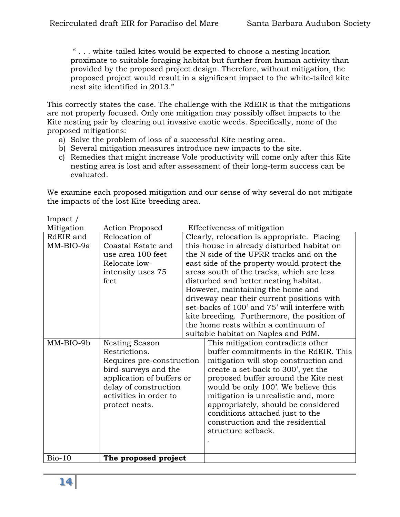" . . . white-tailed kites would be expected to choose a nesting location proximate to suitable foraging habitat but further from human activity than provided by the proposed project design. Therefore, without mitigation, the proposed project would result in a significant impact to the white-tailed kite nest site identified in 2013."

This correctly states the case. The challenge with the RdEIR is that the mitigations are not properly focused. Only one mitigation may possibly offset impacts to the Kite nesting pair by clearing out invasive exotic weeds. Specifically, none of the proposed mitigations:

- a) Solve the problem of loss of a successful Kite nesting area.
- b) Several mitigation measures introduce new impacts to the site.
- c) Remedies that might increase Vole productivity will come only after this Kite nesting area is lost and after assessment of their long-term success can be evaluated.

We examine each proposed mitigation and our sense of why several do not mitigate the impacts of the lost Kite breeding area.

| Impact /   |                           |                                             |                                               |
|------------|---------------------------|---------------------------------------------|-----------------------------------------------|
| Mitigation | <b>Action Proposed</b>    |                                             | Effectiveness of mitigation                   |
| RdEIR and  | Relocation of             | Clearly, relocation is appropriate. Placing |                                               |
| MM-BIO-9a  | Coastal Estate and        |                                             | this house in already disturbed habitat on    |
|            | use area 100 feet         |                                             | the N side of the UPRR tracks and on the      |
|            | Relocate low-             |                                             | east side of the property would protect the   |
|            | intensity uses 75         |                                             | areas south of the tracks, which are less     |
|            | feet                      |                                             | disturbed and better nesting habitat.         |
|            |                           |                                             | However, maintaining the home and             |
|            |                           |                                             | driveway near their current positions with    |
|            |                           |                                             | set-backs of 100' and 75' will interfere with |
|            |                           |                                             | kite breeding. Furthermore, the position of   |
|            |                           |                                             | the home rests within a continuum of          |
|            |                           |                                             | suitable habitat on Naples and PdM.           |
| MM-BIO-9b  | Nesting Season            |                                             | This mitigation contradicts other             |
|            | Restrictions.             |                                             | buffer commitments in the RdEIR. This         |
|            | Requires pre-construction |                                             | mitigation will stop construction and         |
|            | bird-surveys and the      |                                             | create a set-back to 300', yet the            |
|            | application of buffers or |                                             | proposed buffer around the Kite nest          |
|            | delay of construction     |                                             | would be only 100'. We believe this           |
|            | activities in order to    |                                             | mitigation is unrealistic and, more           |
|            | protect nests.            |                                             | appropriately, should be considered           |
|            |                           |                                             | conditions attached just to the               |
|            |                           |                                             | construction and the residential              |
|            |                           |                                             | structure setback.                            |
|            |                           |                                             |                                               |
|            |                           |                                             |                                               |
| $Bio-10$   | The proposed project      |                                             |                                               |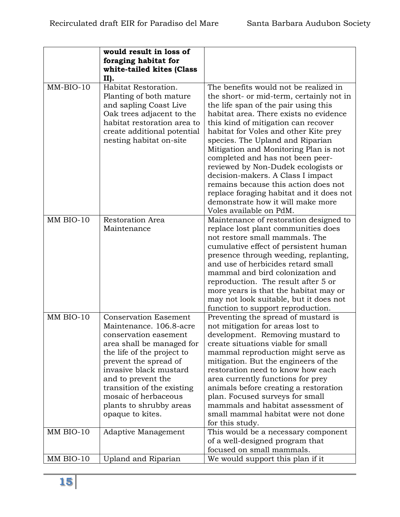|             | would result in loss of<br>foraging habitat for<br>white-tailed kites (Class<br>II).                                                                                                                                                                                                                                      |                                                                                                                                                                                                                                                                                                                                                                                                                                                                                                                                                                                                      |
|-------------|---------------------------------------------------------------------------------------------------------------------------------------------------------------------------------------------------------------------------------------------------------------------------------------------------------------------------|------------------------------------------------------------------------------------------------------------------------------------------------------------------------------------------------------------------------------------------------------------------------------------------------------------------------------------------------------------------------------------------------------------------------------------------------------------------------------------------------------------------------------------------------------------------------------------------------------|
| $MM-BIO-10$ | Habitat Restoration.<br>Planting of both mature<br>and sapling Coast Live<br>Oak trees adjacent to the<br>habitat restoration area to<br>create additional potential<br>nesting habitat on-site                                                                                                                           | The benefits would not be realized in<br>the short- or mid-term, certainly not in<br>the life span of the pair using this<br>habitat area. There exists no evidence<br>this kind of mitigation can recover<br>habitat for Voles and other Kite prey<br>species. The Upland and Riparian<br>Mitigation and Monitoring Plan is not<br>completed and has not been peer-<br>reviewed by Non-Dudek ecologists or<br>decision-makers. A Class I impact<br>remains because this action does not<br>replace foraging habitat and it does not<br>demonstrate how it will make more<br>Voles available on PdM. |
| MM BIO-10   | <b>Restoration Area</b><br>Maintenance                                                                                                                                                                                                                                                                                    | Maintenance of restoration designed to<br>replace lost plant communities does<br>not restore small mammals. The<br>cumulative effect of persistent human<br>presence through weeding, replanting,<br>and use of herbicides retard small<br>mammal and bird colonization and<br>reproduction. The result after 5 or<br>more years is that the habitat may or<br>may not look suitable, but it does not<br>function to support reproduction.                                                                                                                                                           |
| MM BIO-10   | <b>Conservation Easement</b><br>Maintenance. 106.8-acre<br>conservation easement<br>area shall be managed for<br>the life of the project to<br>prevent the spread of<br>invasive black mustard<br>and to prevent the<br>transition of the existing<br>mosaic of herbaceous<br>plants to shrubby areas<br>opaque to kites. | Preventing the spread of mustard is<br>not mitigation for areas lost to<br>development. Removing mustard to<br>create situations viable for small<br>mammal reproduction might serve as<br>mitigation. But the engineers of the<br>restoration need to know how each<br>area currently functions for prey<br>animals before creating a restoration<br>plan. Focused surveys for small<br>mammals and habitat assessment of<br>small mammal habitat were not done<br>for this study.                                                                                                                  |
| MM BIO-10   | Adaptive Management                                                                                                                                                                                                                                                                                                       | This would be a necessary component<br>of a well-designed program that<br>focused on small mammals.                                                                                                                                                                                                                                                                                                                                                                                                                                                                                                  |
| MM BIO-10   | Upland and Riparian                                                                                                                                                                                                                                                                                                       | We would support this plan if it                                                                                                                                                                                                                                                                                                                                                                                                                                                                                                                                                                     |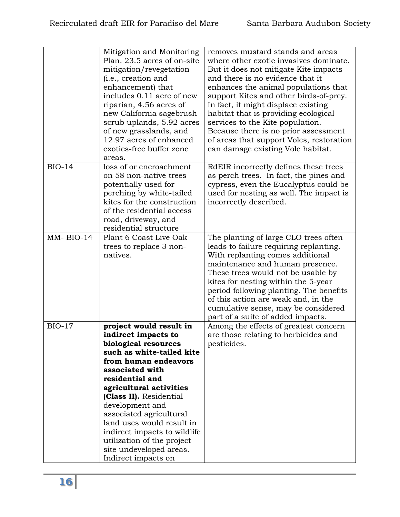| Mitigation and Monitoring<br>Plan. 23.5 acres of on-site                                                                                                                                                                                                                                                                                                                                    | removes mustard stands and areas<br>where other exotic invasives dominate.                                                                                                                                                                                                                                                                                                                              |
|---------------------------------------------------------------------------------------------------------------------------------------------------------------------------------------------------------------------------------------------------------------------------------------------------------------------------------------------------------------------------------------------|---------------------------------------------------------------------------------------------------------------------------------------------------------------------------------------------------------------------------------------------------------------------------------------------------------------------------------------------------------------------------------------------------------|
| mitigation/revegetation<br>(i.e., creation and<br>enhancement) that<br>includes 0.11 acre of new<br>riparian, 4.56 acres of<br>new California sagebrush<br>scrub uplands, 5.92 acres<br>of new grasslands, and<br>12.97 acres of enhanced<br>exotics-free buffer zone<br>areas.                                                                                                             | But it does not mitigate Kite impacts<br>and there is no evidence that it<br>enhances the animal populations that<br>support Kites and other birds-of-prey.<br>In fact, it might displace existing<br>habitat that is providing ecological<br>services to the Kite population.<br>Because there is no prior assessment<br>of areas that support Voles, restoration<br>can damage existing Vole habitat. |
| loss of or encroachment<br>on 58 non-native trees<br>potentially used for<br>perching by white-tailed<br>kites for the construction<br>of the residential access<br>road, driveway, and<br>residential structure                                                                                                                                                                            | RdEIR incorrectly defines these trees<br>as perch trees. In fact, the pines and<br>cypress, even the Eucalyptus could be<br>used for nesting as well. The impact is<br>incorrectly described.                                                                                                                                                                                                           |
| Plant 6 Coast Live Oak<br>trees to replace 3 non-<br>natives.                                                                                                                                                                                                                                                                                                                               | The planting of large CLO trees often<br>leads to failure requiring replanting.<br>With replanting comes additional<br>maintenance and human presence.<br>These trees would not be usable by<br>kites for nesting within the 5-year<br>period following planting. The benefits<br>of this action are weak and, in the<br>cumulative sense, may be considered<br>part of a suite of added impacts.       |
| project would result in<br>indirect impacts to<br>biological resources<br>such as white-tailed kite<br>from human endeavors<br>associated with<br>residential and<br>agricultural activities<br>(Class II). Residential<br>development and<br>associated agricultural<br>land uses would result in<br>indirect impacts to wildlife<br>utilization of the project<br>site undeveloped areas. | Among the effects of greatest concern<br>are those relating to herbicides and<br>pesticides.                                                                                                                                                                                                                                                                                                            |
|                                                                                                                                                                                                                                                                                                                                                                                             |                                                                                                                                                                                                                                                                                                                                                                                                         |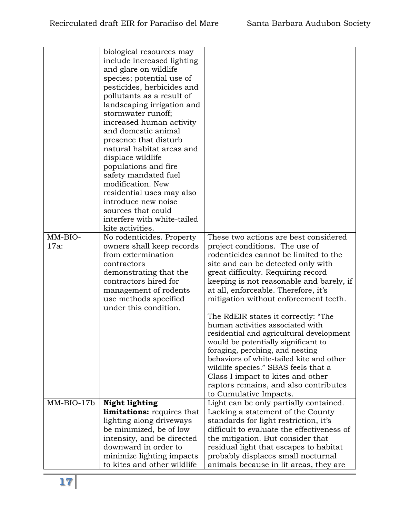|              | biological resources may                       |                                            |
|--------------|------------------------------------------------|--------------------------------------------|
|              | include increased lighting                     |                                            |
|              | and glare on wildlife                          |                                            |
|              | species; potential use of                      |                                            |
|              | pesticides, herbicides and                     |                                            |
|              | pollutants as a result of                      |                                            |
|              | landscaping irrigation and                     |                                            |
|              | stormwater runoff;                             |                                            |
|              | increased human activity                       |                                            |
|              | and domestic animal                            |                                            |
|              | presence that disturb                          |                                            |
|              | natural habitat areas and                      |                                            |
|              | displace wildlife                              |                                            |
|              | populations and fire                           |                                            |
|              | safety mandated fuel                           |                                            |
|              | modification. New                              |                                            |
|              | residential uses may also                      |                                            |
|              | introduce new noise                            |                                            |
|              | sources that could                             |                                            |
|              | interfere with white-tailed                    |                                            |
|              | kite activities.                               |                                            |
| MM-BIO-      | No rodenticides. Property                      | These two actions are best considered      |
| $17a$ :      | owners shall keep records                      | project conditions. The use of             |
|              | from extermination                             | rodenticides cannot be limited to the      |
|              | contractors                                    | site and can be detected only with         |
|              | demonstrating that the                         | great difficulty. Requiring record         |
|              | contractors hired for                          | keeping is not reasonable and barely, if   |
|              | management of rodents                          | at all, enforceable. Therefore, it's       |
|              | use methods specified<br>under this condition. | mitigation without enforcement teeth.      |
|              |                                                | The RdEIR states it correctly: "The        |
|              |                                                | human activities associated with           |
|              |                                                | residential and agricultural development   |
|              |                                                | would be potentially significant to        |
|              |                                                | foraging, perching, and nesting            |
|              |                                                | behaviors of white-tailed kite and other   |
|              |                                                | wildlife species." SBAS feels that a       |
|              |                                                | Class I impact to kites and other          |
|              |                                                | raptors remains, and also contributes      |
|              |                                                | to Cumulative Impacts.                     |
| $MM-BIO-17b$ | <b>Night lighting</b>                          | Light can be only partially contained.     |
|              | <b>limitations:</b> requires that              | Lacking a statement of the County          |
|              | lighting along driveways                       | standards for light restriction, it's      |
|              | be minimized, be of low                        | difficult to evaluate the effectiveness of |
|              | intensity, and be directed                     | the mitigation. But consider that          |
|              | downward in order to                           | residual light that escapes to habitat     |
|              | minimize lighting impacts                      | probably displaces small nocturnal         |
|              | to kites and other wildlife                    | animals because in lit areas, they are     |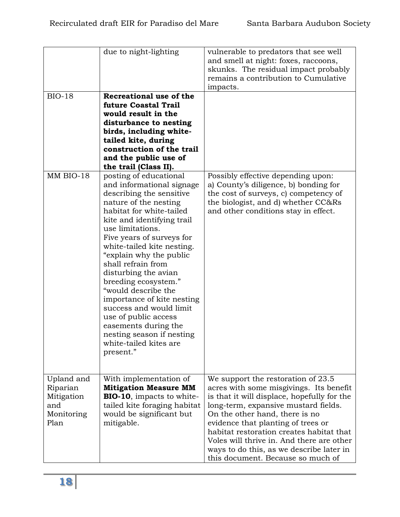|                                                                   | due to night-lighting                                                                                                                                                                                                                                                                                                                                                                                                                                                                                                                                  | vulnerable to predators that see well<br>and smell at night: foxes, raccoons,<br>skunks. The residual impact probably<br>remains a contribution to Cumulative<br>impacts.                                                                                                                                                                                                                                              |
|-------------------------------------------------------------------|--------------------------------------------------------------------------------------------------------------------------------------------------------------------------------------------------------------------------------------------------------------------------------------------------------------------------------------------------------------------------------------------------------------------------------------------------------------------------------------------------------------------------------------------------------|------------------------------------------------------------------------------------------------------------------------------------------------------------------------------------------------------------------------------------------------------------------------------------------------------------------------------------------------------------------------------------------------------------------------|
| <b>BIO-18</b>                                                     | Recreational use of the<br>future Coastal Trail<br>would result in the<br>disturbance to nesting<br>birds, including white-<br>tailed kite, during<br>construction of the trail<br>and the public use of<br>the trail (Class II).                                                                                                                                                                                                                                                                                                                      |                                                                                                                                                                                                                                                                                                                                                                                                                        |
| MM BIO-18                                                         | posting of educational<br>and informational signage<br>describing the sensitive<br>nature of the nesting<br>habitat for white-tailed<br>kite and identifying trail<br>use limitations.<br>Five years of surveys for<br>white-tailed kite nesting.<br>"explain why the public<br>shall refrain from<br>disturbing the avian<br>breeding ecosystem."<br>"would describe the<br>importance of kite nesting<br>success and would limit<br>use of public access<br>easements during the<br>nesting season if nesting<br>white-tailed kites are<br>present." | Possibly effective depending upon:<br>a) County's diligence, b) bonding for<br>the cost of surveys, c) competency of<br>the biologist, and d) whether CC&Rs<br>and other conditions stay in effect.                                                                                                                                                                                                                    |
| Upland and<br>Riparian<br>Mitigation<br>and<br>Monitoring<br>Plan | With implementation of<br><b>Mitigation Measure MM</b><br><b>BIO-10</b> , impacts to white-<br>tailed kite foraging habitat<br>would be significant but<br>mitigable.                                                                                                                                                                                                                                                                                                                                                                                  | We support the restoration of 23.5<br>acres with some misgivings. Its benefit<br>is that it will displace, hopefully for the<br>long-term, expansive mustard fields.<br>On the other hand, there is no<br>evidence that planting of trees or<br>habitat restoration creates habitat that<br>Voles will thrive in. And there are other<br>ways to do this, as we describe later in<br>this document. Because so much of |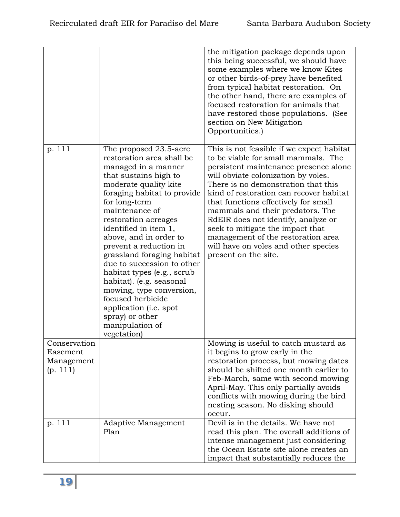|                                                    |                                                                                                                                                                                                                                                                                                                                                                                                                                                                                                                                                           | the mitigation package depends upon<br>this being successful, we should have<br>some examples where we know Kites<br>or other birds-of-prey have benefited<br>from typical habitat restoration. On<br>the other hand, there are examples of<br>focused restoration for animals that<br>have restored those populations. (See<br>section on New Mitigation<br>Opportunities.)                                                                                                                                    |
|----------------------------------------------------|-----------------------------------------------------------------------------------------------------------------------------------------------------------------------------------------------------------------------------------------------------------------------------------------------------------------------------------------------------------------------------------------------------------------------------------------------------------------------------------------------------------------------------------------------------------|-----------------------------------------------------------------------------------------------------------------------------------------------------------------------------------------------------------------------------------------------------------------------------------------------------------------------------------------------------------------------------------------------------------------------------------------------------------------------------------------------------------------|
| p. 111                                             | The proposed 23.5-acre<br>restoration area shall be<br>managed in a manner<br>that sustains high to<br>moderate quality kite<br>foraging habitat to provide<br>for long-term<br>maintenance of<br>restoration acreages<br>identified in item 1,<br>above, and in order to<br>prevent a reduction in<br>grassland foraging habitat<br>due to succession to other<br>habitat types (e.g., scrub<br>habitat). (e.g. seasonal<br>mowing, type conversion,<br>focused herbicide<br>application (i.e. spot<br>spray) or other<br>manipulation of<br>vegetation) | This is not feasible if we expect habitat<br>to be viable for small mammals. The<br>persistent maintenance presence alone<br>will obviate colonization by voles.<br>There is no demonstration that this<br>kind of restoration can recover habitat<br>that functions effectively for small<br>mammals and their predators. The<br>RdEIR does not identify, analyze or<br>seek to mitigate the impact that<br>management of the restoration area<br>will have on voles and other species<br>present on the site. |
| Conservation<br>Easement<br>Management<br>(p. 111) |                                                                                                                                                                                                                                                                                                                                                                                                                                                                                                                                                           | Mowing is useful to catch mustard as<br>it begins to grow early in the<br>restoration process, but mowing dates<br>should be shifted one month earlier to<br>Feb-March, same with second mowing<br>April-May. This only partially avoids<br>conflicts with mowing during the bird<br>nesting season. No disking should<br>occur.                                                                                                                                                                                |
| p. 111                                             | Adaptive Management<br>Plan                                                                                                                                                                                                                                                                                                                                                                                                                                                                                                                               | Devil is in the details. We have not<br>read this plan. The overall additions of<br>intense management just considering<br>the Ocean Estate site alone creates an<br>impact that substantially reduces the                                                                                                                                                                                                                                                                                                      |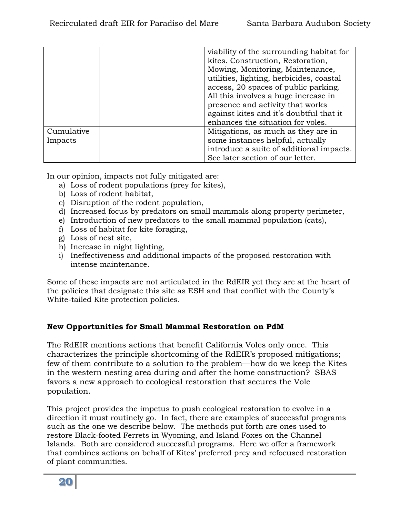|                       | viability of the surrounding habitat for<br>kites. Construction, Restoration,<br>Mowing, Monitoring, Maintenance,<br>utilities, lighting, herbicides, coastal                                    |
|-----------------------|--------------------------------------------------------------------------------------------------------------------------------------------------------------------------------------------------|
|                       | access, 20 spaces of public parking.<br>All this involves a huge increase in<br>presence and activity that works<br>against kites and it's doubtful that it<br>enhances the situation for voles. |
| Cumulative<br>Impacts | Mitigations, as much as they are in<br>some instances helpful, actually<br>introduce a suite of additional impacts.<br>See later section of our letter.                                          |

In our opinion, impacts not fully mitigated are:

- a) Loss of rodent populations (prey for kites),
- b) Loss of rodent habitat,
- c) Disruption of the rodent population,
- d) Increased focus by predators on small mammals along property perimeter,
- e) Introduction of new predators to the small mammal population (cats),
- f) Loss of habitat for kite foraging,
- g) Loss of nest site,
- h) Increase in night lighting,
- i) Ineffectiveness and additional impacts of the proposed restoration with intense maintenance.

Some of these impacts are not articulated in the RdEIR yet they are at the heart of the policies that designate this site as ESH and that conflict with the County's White-tailed Kite protection policies.

# **New Opportunities for Small Mammal Restoration on PdM**

The RdEIR mentions actions that benefit California Voles only once. This characterizes the principle shortcoming of the RdEIR's proposed mitigations; few of them contribute to a solution to the problem—how do we keep the Kites in the western nesting area during and after the home construction? SBAS favors a new approach to ecological restoration that secures the Vole population.

This project provides the impetus to push ecological restoration to evolve in a direction it must routinely go. In fact, there are examples of successful programs such as the one we describe below. The methods put forth are ones used to restore Black-footed Ferrets in Wyoming, and Island Foxes on the Channel Islands. Both are considered successful programs. Here we offer a framework that combines actions on behalf of Kites' preferred prey and refocused restoration of plant communities.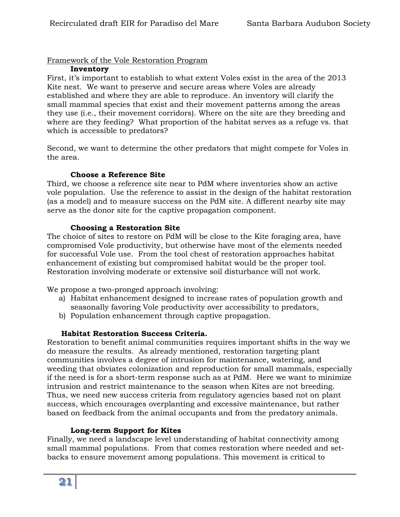#### Framework of the Vole Restoration Program

#### **Inventory**

First, it's important to establish to what extent Voles exist in the area of the 2013 Kite nest. We want to preserve and secure areas where Voles are already established and where they are able to reproduce. An inventory will clarify the small mammal species that exist and their movement patterns among the areas they use (i.e., their movement corridors). Where on the site are they breeding and where are they feeding? What proportion of the habitat serves as a refuge vs. that which is accessible to predators?

Second, we want to determine the other predators that might compete for Voles in the area.

#### **Choose a Reference Site**

Third, we choose a reference site near to PdM where inventories show an active vole population. Use the reference to assist in the design of the habitat restoration (as a model) and to measure success on the PdM site. A different nearby site may serve as the donor site for the captive propagation component.

#### **Choosing a Restoration Site**

The choice of sites to restore on PdM will be close to the Kite foraging area, have compromised Vole productivity, but otherwise have most of the elements needed for successful Vole use. From the tool chest of restoration approaches habitat enhancement of existing but compromised habitat would be the proper tool. Restoration involving moderate or extensive soil disturbance will not work.

We propose a two-pronged approach involving:

- a) Habitat enhancement designed to increase rates of population growth and seasonally favoring Vole productivity over accessibility to predators,
- b) Population enhancement through captive propagation.

# **Habitat Restoration Success Criteria.**

Restoration to benefit animal communities requires important shifts in the way we do measure the results. As already mentioned, restoration targeting plant communities involves a degree of intrusion for maintenance, watering, and weeding that obviates colonization and reproduction for small mammals, especially if the need is for a short-term response such as at PdM. Here we want to minimize intrusion and restrict maintenance to the season when Kites are not breeding. Thus, we need new success criteria from regulatory agencies based not on plant success, which encourages overplanting and excessive maintenance, but rather based on feedback from the animal occupants and from the predatory animals.

#### **Long-term Support for Kites**

Finally, we need a landscape level understanding of habitat connectivity among small mammal populations. From that comes restoration where needed and setbacks to ensure movement among populations. This movement is critical to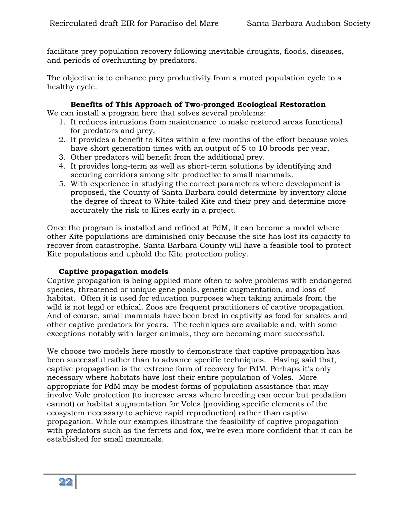facilitate prey population recovery following inevitable droughts, floods, diseases, and periods of overhunting by predators.

The objective is to enhance prey productivity from a muted population cycle to a healthy cycle.

#### **Benefits of This Approach of Two-pronged Ecological Restoration**

We can install a program here that solves several problems:

- 1. It reduces intrusions from maintenance to make restored areas functional for predators and prey,
- 2. It provides a benefit to Kites within a few months of the effort because voles have short generation times with an output of 5 to 10 broods per year,
- 3. Other predators will benefit from the additional prey.
- 4. It provides long-term as well as short-term solutions by identifying and securing corridors among site productive to small mammals.
- 5. With experience in studying the correct parameters where development is proposed, the County of Santa Barbara could determine by inventory alone the degree of threat to White-tailed Kite and their prey and determine more accurately the risk to Kites early in a project.

Once the program is installed and refined at PdM, it can become a model where other Kite populations are diminished only because the site has lost its capacity to recover from catastrophe. Santa Barbara County will have a feasible tool to protect Kite populations and uphold the Kite protection policy.

#### **Captive propagation models**

Captive propagation is being applied more often to solve problems with endangered species, threatened or unique gene pools, genetic augmentation, and loss of habitat. Often it is used for education purposes when taking animals from the wild is not legal or ethical. Zoos are frequent practitioners of captive propagation. And of course, small mammals have been bred in captivity as food for snakes and other captive predators for years. The techniques are available and, with some exceptions notably with larger animals, they are becoming more successful.

We choose two models here mostly to demonstrate that captive propagation has been successful rather than to advance specific techniques. Having said that, captive propagation is the extreme form of recovery for PdM. Perhaps it's only necessary where habitats have lost their entire population of Voles. More appropriate for PdM may be modest forms of population assistance that may involve Vole protection (to increase areas where breeding can occur but predation cannot) or habitat augmentation for Voles (providing specific elements of the ecosystem necessary to achieve rapid reproduction) rather than captive propagation. While our examples illustrate the feasibility of captive propagation with predators such as the ferrets and fox, we're even more confident that it can be established for small mammals.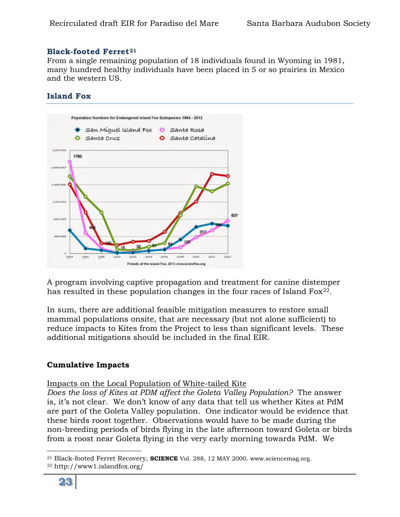#### **Black-footed Ferret[21](#page-22-0)**

From a single remaining population of 18 individuals found in Wyoming in 1981, many hundred healthy individuals have been placed in 5 or so prairies in Mexico and the western US.

# **Island Fox**



A program involving captive propagation and treatment for canine distemper has resulted in these population changes in the four races of Island Fox<sup>[22](#page-22-1)</sup>.

In sum, there are additional feasible mitigation measures to restore small mammal populations onsite, that are necessary (but not alone sufficient) to reduce impacts to Kites from the Project to less than significant levels. These additional mitigations should be included in the final EIR.

# **Cumulative Impacts**

#### Impacts on the Local Population of White-tailed Kite

*Does the loss of Kites at PDM affect the Goleta Valley Population?* The answer is, it's not clear. We don't know of any data that tell us whether Kites at PdM are part of the Goleta Valley population. One indicator would be evidence that these birds roost together. Observations would have to be made during the non-breeding periods of birds flying in the late afternoon toward Goleta or birds from a roost near Goleta flying in the very early morning towards PdM. We

<span id="page-22-0"></span> $\overline{a}$ <sup>21</sup> Black-footed Ferret Recovery, **SCIENCE** Vol. 288, 12 MAY 2000. www.sciencemag.org.

<span id="page-22-1"></span><sup>22</sup> http://www1.islandfox.org/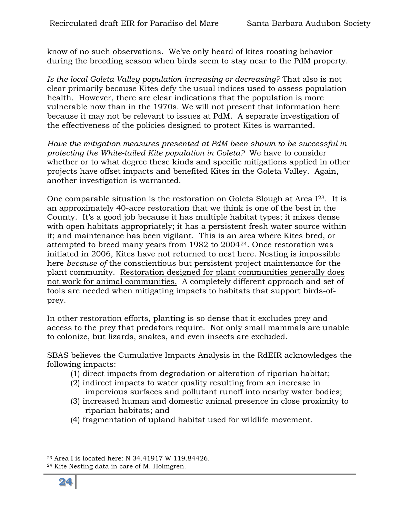know of no such observations. We've only heard of kites roosting behavior during the breeding season when birds seem to stay near to the PdM property.

*Is the local Goleta Valley population increasing or decreasing?* That also is not clear primarily because Kites defy the usual indices used to assess population health. However, there are clear indications that the population is more vulnerable now than in the 1970s. We will not present that information here because it may not be relevant to issues at PdM. A separate investigation of the effectiveness of the policies designed to protect Kites is warranted.

*Have the mitigation measures presented at PdM been shown to be successful in protecting the White-tailed Kite population in Goleta?* We have to consider whether or to what degree these kinds and specific mitigations applied in other projects have offset impacts and benefited Kites in the Goleta Valley. Again, another investigation is warranted.

One comparable situation is the restoration on Goleta Slough at Area I[23](#page-23-0). It is an approximately 40-acre restoration that we think is one of the best in the County. It's a good job because it has multiple habitat types; it mixes dense with open habitats appropriately; it has a persistent fresh water source within it; and maintenance has been vigilant. This is an area where Kites bred, or attempted to breed many years from 1982 to 2004[24](#page-23-1). Once restoration was initiated in 2006, Kites have not returned to nest here. Nesting is impossible here *because of* the conscientious but persistent project maintenance for the plant community. Restoration designed for plant communities generally does not work for animal communities. A completely different approach and set of tools are needed when mitigating impacts to habitats that support birds-ofprey.

In other restoration efforts, planting is so dense that it excludes prey and access to the prey that predators require. Not only small mammals are unable to colonize, but lizards, snakes, and even insects are excluded.

SBAS believes the Cumulative Impacts Analysis in the RdEIR acknowledges the following impacts:

- (1) direct impacts from degradation or alteration of riparian habitat;
- (2) indirect impacts to water quality resulting from an increase in impervious surfaces and pollutant runoff into nearby water bodies;
- (3) increased human and domestic animal presence in close proximity to riparian habitats; and
- (4) fragmentation of upland habitat used for wildlife movement.

<span id="page-23-1"></span><sup>24</sup> Kite Nesting data in care of M. Holmgren.



<span id="page-23-0"></span> $\overline{a}$ <sup>23</sup> Area I is located here: N 34.41917 W 119.84426.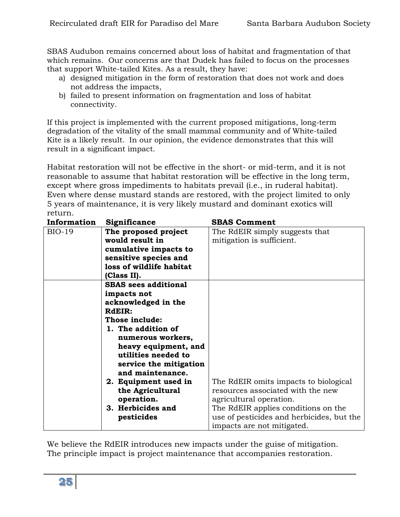SBAS Audubon remains concerned about loss of habitat and fragmentation of that which remains. Our concerns are that Dudek has failed to focus on the processes that support White-tailed Kites. As a result, they have:

- a) designed mitigation in the form of restoration that does not work and does not address the impacts,
- b) failed to present information on fragmentation and loss of habitat connectivity.

If this project is implemented with the current proposed mitigations, long-term degradation of the vitality of the small mammal community and of White-tailed Kite is a likely result. In our opinion, the evidence demonstrates that this will result in a significant impact.

Habitat restoration will not be effective in the short- or mid-term, and it is not reasonable to assume that habitat restoration will be effective in the long term, except where gross impediments to habitats prevail (i.e., in ruderal habitat). Even where dense mustard stands are restored, with the project limited to only 5 years of maintenance, it is very likely mustard and dominant exotics will return.

| Information   | Significance                | <b>SBAS Comment</b>                       |
|---------------|-----------------------------|-------------------------------------------|
| <b>BIO-19</b> | The proposed project        | The RdEIR simply suggests that            |
|               | would result in             | mitigation is sufficient.                 |
|               | cumulative impacts to       |                                           |
|               | sensitive species and       |                                           |
|               | loss of wildlife habitat    |                                           |
|               | (Class II).                 |                                           |
|               | <b>SBAS</b> sees additional |                                           |
|               | impacts not                 |                                           |
|               | acknowledged in the         |                                           |
|               | RdEIR:                      |                                           |
|               | Those include:              |                                           |
|               | 1. The addition of          |                                           |
|               | numerous workers,           |                                           |
|               | heavy equipment, and        |                                           |
|               | utilities needed to         |                                           |
|               | service the mitigation      |                                           |
|               | and maintenance.            |                                           |
|               | 2. Equipment used in        | The RdEIR omits impacts to biological     |
|               | the Agricultural            | resources associated with the new         |
|               | operation.                  | agricultural operation.                   |
|               | 3. Herbicides and           | The RdEIR applies conditions on the       |
|               | pesticides                  | use of pesticides and herbicides, but the |
|               |                             | impacts are not mitigated.                |

We believe the RdEIR introduces new impacts under the guise of mitigation. The principle impact is project maintenance that accompanies restoration.